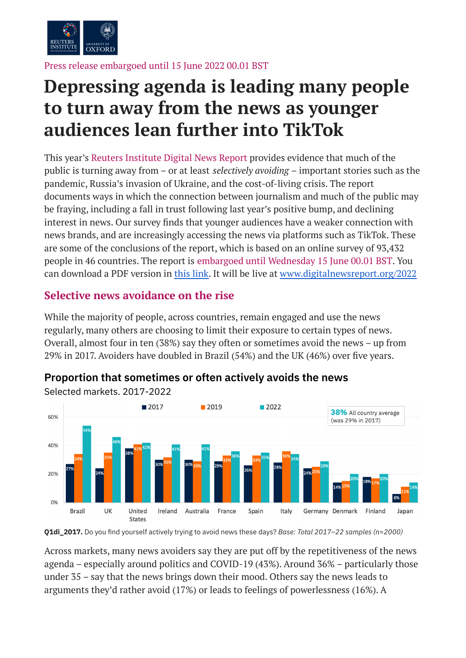

Press release embargoed until 15 June 2022 00.01 BST

# **Depressing agenda is leading many people to turn away from the news as younger audiences lean further into TikTok**

This year's Reuters Institute Digital News Report provides evidence that much of the public is turning away from – or at least *selectively avoiding* – important stories such as the pandemic, Russia's invasion of Ukraine, and the cost-of-living crisis. The report documents ways in which the connection between journalism and much of the public may be fraying, including a fall in trust following last year's positive bump, and declining interest in news. Our survey finds that younger audiences have a weaker connection with news brands, and are increasingly accessing the news via platforms such as TikTok. These are some of the conclusions of the report, which is based on an online survey of 93,432 people in 46 countries. The report is embargoed until Wednesday 15 June 00.01 BST. You can download a PDF version in this [link.](https://drive.google.com/file/d/1EJq9mMY22__ICFHT8dDakxO5mggrodWw/view?usp=sharing) It will be live at [www.digitalnewsreport.org/2022](https://www.digitalnewsreport.org/2022)

## **Selective news avoidance on the rise**

While the majority of people, across countries, remain engaged and use the news regularly, many others are choosing to limit their exposure to certain types of news. Overall, almost four in ten (38%) say they often or sometimes avoid the news – up from 29% in 2017. Avoiders have doubled in Brazil (54%) and the UK (46%) over five years.



## **Proportion that sometimes or often actively avoids the news**

**Q1di\_2017.** Do you find yourself actively trying to avoid news these days? *Base: Total 2017–22 samples (n≈2000)*

Across markets, many news avoiders say they are put off by the repetitiveness of the news agenda – especially around politics and COVID-19 (43%). Around 36% – particularly those under 35 – say that the news brings down their mood. Others say the news leads to arguments they'd rather avoid (17%) or leads to feelings of powerlessness (16%). A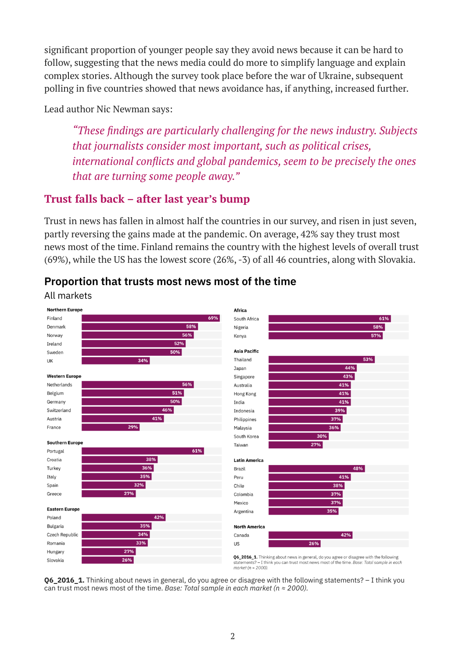significant proportion of younger people say they avoid news because it can be hard to follow, suggesting that the news media could do more to simplify language and explain complex stories. Although the survey took place before the war of Ukraine, subsequent polling in five countries showed that news avoidance has, if anything, increased further.

Lead author Nic Newman says:

*"These findings are particularly challenging for the news industry. Subjects that journalists consider most important, such as political crises, international conflicts and global pandemics, seem to be precisely the ones that are turning some people away."*

# **Trust falls back – after last year's bump**

Trust in news has fallen in almost half the countries in our survey, and risen in just seven, partly reversing the gains made at the pandemic. On average, 42% say they trust most news most of the time. Finland remains the country with the highest levels of overall trust (69%), while the US has the lowest score (26%, -3) of all 46 countries, along with Slovakia.



## **Proportion that trusts most news most of the time**

**Q6\_2016\_1.** Thinking about news in general, do you agree or disagree with the following statements? – I think you can trust most news most of the time. *Base: Total sample in each market (n ≈ 2000).*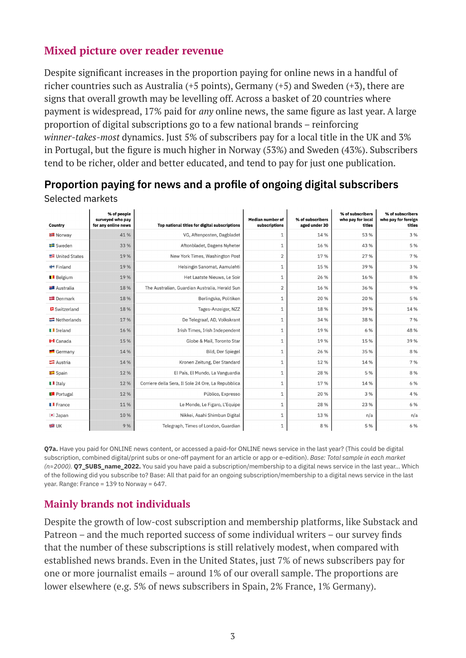## **Mixed picture over reader revenue**

Despite significant increases in the proportion paying for online news in a handful of richer countries such as Australia ( $+5$  points), Germany ( $+5$ ) and Sweden ( $+3$ ), there are signs that overall growth may be levelling off. Across a basket of 20 countries where payment is widespread, 17% paid for *any* online news, the same figure as last year. A large proportion of digital subscriptions go to a few national brands – reinforcing *winner-takes-most* dynamics. Just 5% of subscribers pay for a local title in the UK and 3% in Portugal, but the figure is much higher in Norway (53%) and Sweden (43%). Subscribers tend to be richer, older and better educated, and tend to pay for just one publication.

| Country                    | % of people<br>surveyed who pay<br>for any online news | Top national titles for digital subscriptions      | <b>Median number of</b><br>subscriptions | % of subscribers<br>aged under 30 | % of subscribers<br>who pay for local<br>titles | % of subscribers<br>who pay for foreign<br>titles |
|----------------------------|--------------------------------------------------------|----------------------------------------------------|------------------------------------------|-----------------------------------|-------------------------------------------------|---------------------------------------------------|
| <b>Norway</b>              | 41 %                                                   | VG, Aftenposten, Dagbladet                         | $1\,$                                    | 14 %                              | 53 %                                            | 3 %                                               |
| Sweden                     | 33 %                                                   | Aftonbladet, Dagens Nyheter                        | $1\,$                                    | 16 %                              | 43 %                                            | 5 %                                               |
| United States              | 19%                                                    | New York Times, Washington Post                    | $\overline{2}$                           | 17%                               | 27 %                                            | 7 %                                               |
| <b>Finland</b>             | 19 %                                                   | Helsingin Sanomat, Aamulehti                       | $\mathbf{1}$                             | 15 %                              | 39 %                                            | 3 %                                               |
| Belgium                    | 19%                                                    | Het Laatste Nieuws, Le Soir                        | 1                                        | 26 %                              | 16 %                                            | 8 %                                               |
| Australia                  | 18 %                                                   | The Australian, Guardian Australia, Herald Sun     | $\overline{2}$                           | 16 %                              | 36 %                                            | 9 %                                               |
| <b>■</b> Denmark           | 18%                                                    | Berlingske, Politiken                              | $\mathbf{1}$                             | 20 %                              | 20%                                             | 5 %                                               |
| Switzerland                | 18%                                                    | Tages-Anzeiger, NZZ                                | $1\,$                                    | 18%                               | 39%                                             | 14%                                               |
| $\blacksquare$ Netherlands | 17%                                                    | De Telegraaf, AD, Volkskrant                       | $1\,$                                    | 34 %                              | 38 %                                            | 7 %                                               |
| <b>I</b> Ireland           | 16 %                                                   | Irish Times, Irish Independent                     | 1                                        | 19%                               | 6 %                                             | 48 %                                              |
| <b>I</b> -I Canada         | 15 %                                                   | Globe & Mail. Toronto Star                         | $\mathbf 1$                              | 19%                               | 15%                                             | 39 %                                              |
| Germany                    | 14 %                                                   | <b>Bild, Der Spiegel</b>                           | $1\,$                                    | 26 %                              | 35%                                             | 8 %                                               |
| $\equiv$ Austria           | 14 %                                                   | Kronen Zeitung, Der Standard                       | $1\,$                                    | 12%                               | 14 %                                            | 7 %                                               |
| $\Box$ Spain               | 12%                                                    | El País, El Mundo, La Vanguardia                   | 1                                        | 28 %                              | 5 %                                             | 8 %                                               |
| $\blacksquare$ Italy       | 12%                                                    | Corriere della Sera, Il Sole 24 Ore, La Repubblica | 1                                        | 17%                               | 14 %                                            | 6 %                                               |
| <b>Portugal</b>            | 12%                                                    | Público, Expresso                                  | 1                                        | 20 %                              | 3 %                                             | 4 %                                               |
| $\blacksquare$ France      | 11%                                                    | Le Monde, Le Figaro, L'Equipe                      | 1                                        | 28 %                              | 23 %                                            | 6 %                                               |
| $\bullet$ Japan            | 10%                                                    | Nikkei, Asahi Shimbun Digital                      | $\mathbf{1}$                             | 13 %                              | n/a                                             | n/a                                               |
| <b>SHEI</b> UK             | 9 %                                                    | Telegraph, Times of London, Guardian               | $\mathbf 1$                              | 8 %                               | 5 %                                             | 6 %                                               |

#### **Proportion paying for news and a profile of ongoing digital subscribers** Selected markets

**Q7a.** Have you paid for ONLINE news content, or accessed a paid-for ONLINE news service in the last year? (This could be digital subscription, combined digital/print subs or one-off payment for an article or app or e-edition). *Base: Total sample in each market (n≈2000).* **Q7\_SUBS\_name\_2022.** You said you have paid a subscription/membership to a digital news service in the last year… Which of the following did you subscribe to? Base: All that paid for an ongoing subscription/membership to a digital news service in the last year. Range: France = 139 to Norway = 647.

## **Mainly brands not individuals**

Despite the growth of low-cost subscription and membership platforms, like Substack and Patreon – and the much reported success of some individual writers – our survey finds that the number of these subscriptions is still relatively modest, when compared with established news brands. Even in the United States, just 7% of news subscribers pay for one or more journalist emails – around 1% of our overall sample. The proportions are lower elsewhere (e.g. 5% of news subscribers in Spain, 2% France, 1% Germany).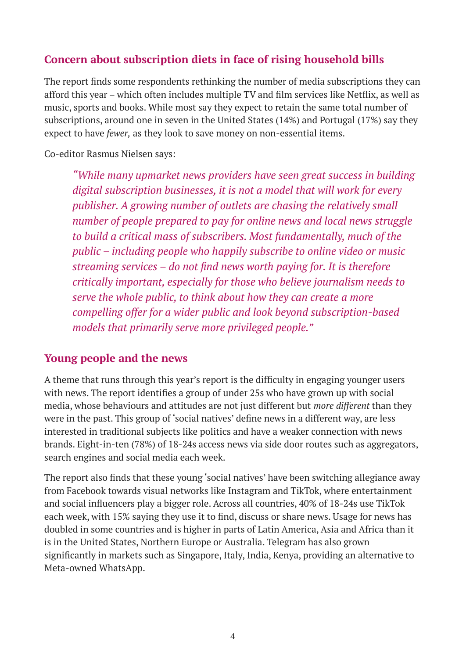## **Concern about subscription diets in face of rising household bills**

The report finds some respondents rethinking the number of media subscriptions they can afford this year – which often includes multiple TV and film services like Netflix, as well as music, sports and books. While most say they expect to retain the same total number of subscriptions, around one in seven in the United States (14%) and Portugal (17%) say they expect to have *fewer,* as they look to save money on non-essential items.

Co-editor Rasmus Nielsen says:

*"While many upmarket news providers have seen great success in building digital subscription businesses, it is not a model that will work for every publisher. A growing number of outlets are chasing the relatively small number of people prepared to pay for online news and local news struggle to build a critical mass of subscribers. Most fundamentally, much of the public – including people who happily subscribe to online video or music streaming services – do not find news worth paying for. It is therefore critically important, especially for those who believe journalism needs to serve the whole public, to think about how they can create a more compelling offer for a wider public and look beyond subscription-based models that primarily serve more privileged people."*

#### **Young people and the news**

A theme that runs through this year's report is the difficulty in engaging younger users with news. The report identifies a group of under 25s who have grown up with social media, whose behaviours and attitudes are not just different but *more different* than they were in the past. This group of 'social natives' define news in a different way, are less interested in traditional subjects like politics and have a weaker connection with news brands. Eight-in-ten (78%) of 18-24s access news via side door routes such as aggregators, search engines and social media each week.

The report also finds that these young 'social natives' have been switching allegiance away from Facebook towards visual networks like Instagram and TikTok, where entertainment and social influencers play a bigger role. Across all countries, 40% of 18-24s use TikTok each week, with 15% saying they use it to find, discuss or share news. Usage for news has doubled in some countries and is higher in parts of Latin America, Asia and Africa than it is in the United States, Northern Europe or Australia. Telegram has also grown significantly in markets such as Singapore, Italy, India, Kenya, providing an alternative to Meta-owned WhatsApp.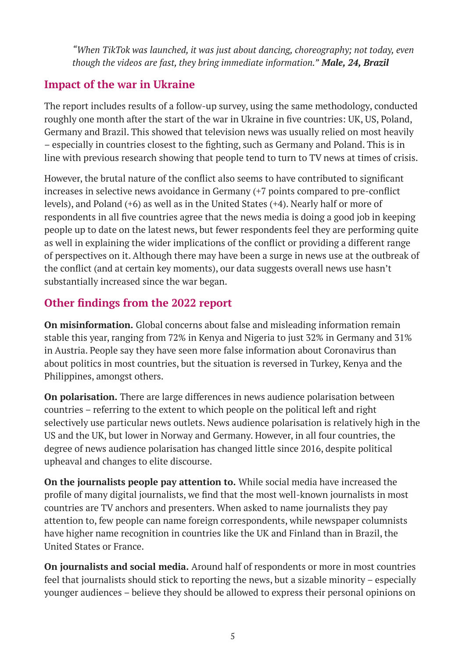*"When TikTok was launched, it was just about dancing, choreography; not today, even though the videos are fast, they bring immediate information." Male, 24, Brazil*

# **Impact of the war in Ukraine**

The report includes results of a follow-up survey, using the same methodology, conducted roughly one month after the start of the war in Ukraine in five countries: UK, US, Poland, Germany and Brazil. This showed that television news was usually relied on most heavily – especially in countries closest to the fighting, such as Germany and Poland. This is in line with previous research showing that people tend to turn to TV news at times of crisis.

However, the brutal nature of the conflict also seems to have contributed to significant increases in selective news avoidance in Germany (+7 points compared to pre-conflict levels), and Poland (+6) as well as in the United States (+4). Nearly half or more of respondents in all five countries agree that the news media is doing a good job in keeping people up to date on the latest news, but fewer respondents feel they are performing quite as well in explaining the wider implications of the conflict or providing a different range of perspectives on it. Although there may have been a surge in news use at the outbreak of the conflict (and at certain key moments), our data suggests overall news use hasn't substantially increased since the war began.

# **Other findings from the 2022 report**

**On misinformation.** Global concerns about false and misleading information remain stable this year, ranging from 72% in Kenya and Nigeria to just 32% in Germany and 31% in Austria. People say they have seen more false information about Coronavirus than about politics in most countries, but the situation is reversed in Turkey, Kenya and the Philippines, amongst others.

**On polarisation.** There are large differences in news audience polarisation between countries – referring to the extent to which people on the political left and right selectively use particular news outlets. News audience polarisation is relatively high in the US and the UK, but lower in Norway and Germany. However, in all four countries, the degree of news audience polarisation has changed little since 2016, despite political upheaval and changes to elite discourse.

**On the journalists people pay attention to.** While social media have increased the profile of many digital journalists, we find that the most well-known journalists in most countries are TV anchors and presenters. When asked to name journalists they pay attention to, few people can name foreign correspondents, while newspaper columnists have higher name recognition in countries like the UK and Finland than in Brazil, the United States or France.

**On journalists and social media.** Around half of respondents or more in most countries feel that journalists should stick to reporting the news, but a sizable minority – especially younger audiences – believe they should be allowed to express their personal opinions on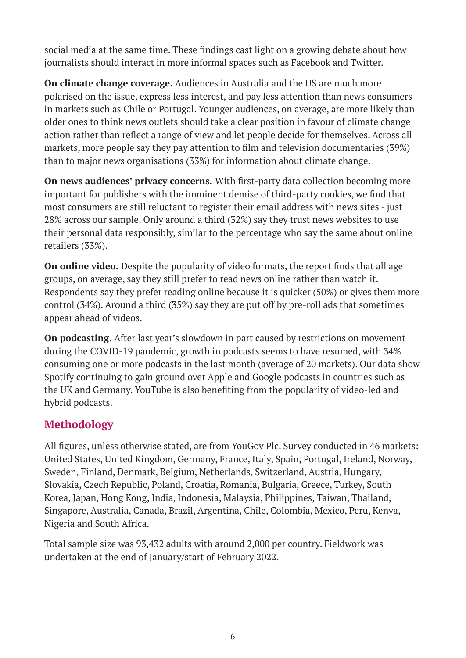social media at the same time. These findings cast light on a growing debate about how journalists should interact in more informal spaces such as Facebook and Twitter.

**On climate change coverage.** Audiences in Australia and the US are much more polarised on the issue, express less interest, and pay less attention than news consumers in markets such as Chile or Portugal. Younger audiences, on average, are more likely than older ones to think news outlets should take a clear position in favour of climate change action rather than reflect a range of view and let people decide for themselves. Across all markets, more people say they pay attention to film and television documentaries (39%) than to major news organisations (33%) for information about climate change.

**On news audiences' privacy concerns.** With first-party data collection becoming more important for publishers with the imminent demise of third-party cookies, we find that most consumers are still reluctant to register their email address with news sites - just 28% across our sample. Only around a third (32%) say they trust news websites to use their personal data responsibly, similar to the percentage who say the same about online retailers (33%).

**On online video.** Despite the popularity of video formats, the report finds that all age groups, on average, say they still prefer to read news online rather than watch it. Respondents say they prefer reading online because it is quicker (50%) or gives them more control (34%). Around a third (35%) say they are put off by pre-roll ads that sometimes appear ahead of videos.

**On podcasting.** After last year's slowdown in part caused by restrictions on movement during the COVID-19 pandemic, growth in podcasts seems to have resumed, with 34% consuming one or more podcasts in the last month (average of 20 markets). Our data show Spotify continuing to gain ground over Apple and Google podcasts in countries such as the UK and Germany. YouTube is also benefiting from the popularity of video-led and hybrid podcasts.

# **Methodology**

All figures, unless otherwise stated, are from YouGov Plc. Survey conducted in 46 markets: United States, United Kingdom, Germany, France, Italy, Spain, Portugal, Ireland, Norway, Sweden, Finland, Denmark, Belgium, Netherlands, Switzerland, Austria, Hungary, Slovakia, Czech Republic, Poland, Croatia, Romania, Bulgaria, Greece, Turkey, South Korea, Japan, Hong Kong, India, Indonesia, Malaysia, Philippines, Taiwan, Thailand, Singapore, Australia, Canada, Brazil, Argentina, Chile, Colombia, Mexico, Peru, Kenya, Nigeria and South Africa.

Total sample size was 93,432 adults with around 2,000 per country. Fieldwork was undertaken at the end of January/start of February 2022.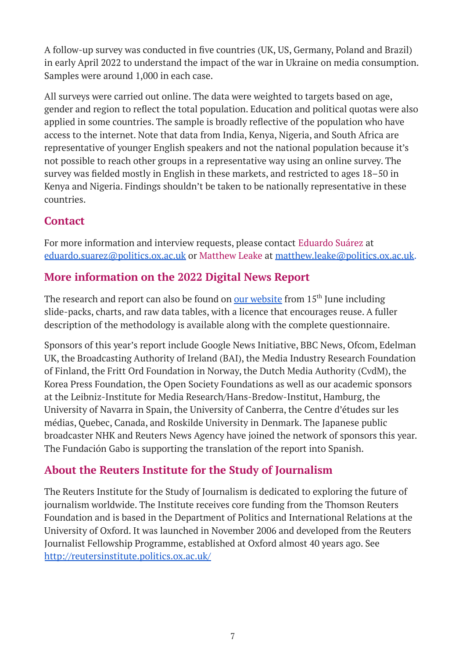A follow-up survey was conducted in five countries (UK, US, Germany, Poland and Brazil) in early April 2022 to understand the impact of the war in Ukraine on media consumption. Samples were around 1,000 in each case.

All surveys were carried out online. The data were weighted to targets based on age, gender and region to reflect the total population. Education and political quotas were also applied in some countries. The sample is broadly reflective of the population who have access to the internet. Note that data from India, Kenya, Nigeria, and South Africa are representative of younger English speakers and not the national population because it's not possible to reach other groups in a representative way using an online survey. The survey was fielded mostly in English in these markets, and restricted to ages 18–50 in Kenya and Nigeria. Findings shouldn't be taken to be nationally representative in these countries.

## **Contact**

For more information and interview requests, please contact Eduardo Suárez at [eduardo.suarez@politics.ox.ac.uk](mailto:eduardo.suarez@politics.ox.ac.uk) or Matthew Leake at [matthew.leake@politics.ox.ac.uk.](mailto:matthew.leake@politics.ox.ac.uk)

## **More information on the 2022 Digital News Report**

The research and report can also be found on **our [website](https://www.digitalnewsreport.org/2022)** from 15<sup>th</sup> June including slide-packs, charts, and raw data tables, with a licence that encourages reuse. A fuller description of the methodology is available along with the complete questionnaire.

Sponsors of this year's report include Google News Initiative, BBC News, Ofcom, Edelman UK, the Broadcasting Authority of Ireland (BAI), the Media Industry Research Foundation of Finland, the Fritt Ord Foundation in Norway, the Dutch Media Authority (CvdM), the Korea Press Foundation, the Open Society Foundations as well as our academic sponsors at the Leibniz-Institute for Media Research/Hans-Bredow-Institut, Hamburg, the University of Navarra in Spain, the University of Canberra, the Centre d'études sur les médias, Quebec, Canada, and Roskilde University in Denmark. The Japanese public broadcaster NHK and Reuters News Agency have joined the network of sponsors this year. The Fundación Gabo is supporting the translation of the report into Spanish.

# **About the Reuters Institute for the Study of Journalism**

The Reuters Institute for the Study of Journalism is dedicated to exploring the future of journalism worldwide. The Institute receives core funding from the Thomson Reuters Foundation and is based in the Department of Politics and International Relations at the University of Oxford. It was launched in November 2006 and developed from the Reuters Journalist Fellowship Programme, established at Oxford almost 40 years ago. See <http://reutersinstitute.politics.ox.ac.uk/>